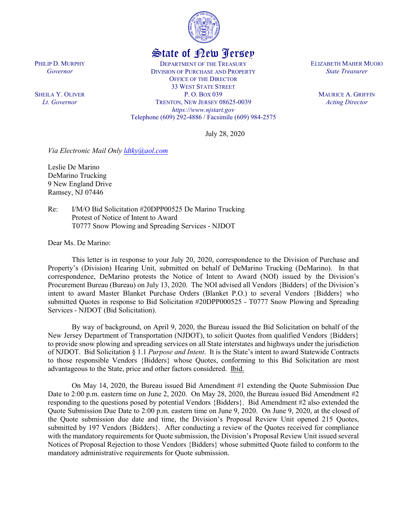

## State of New Jersey

DEPARTMENT OF THE TREASURY DIVISION OF PURCHASE AND PROPERTY OFFICE OF THE DIRECTOR 33 WEST STATE STREET P. O. BOX 039 TRENTON, NEW JERSEY 08625-0039 *https://www.njstart.gov* Telephone (609) 292-4886 / Facsimile (609) 984-2575 ELIZABETH MAHER MUOIO *State Treasurer*

> MAURICE A. GRIFFIN *Acting Director*

July 28, 2020

*Via Electronic Mail Only [ldtky@aol.com](mailto:ldtky@aol.com)*

Leslie De Marino DeMarino Trucking 9 New England Drive Ramsey, NJ 07446

Re: I/M/O Bid Solicitation #20DPP00525 De Marino Trucking Protest of Notice of Intent to Award T0777 Snow Plowing and Spreading Services - NJDOT

Dear Ms. De Marino:

This letter is in response to your July 20, 2020, correspondence to the Division of Purchase and Property's (Division) Hearing Unit, submitted on behalf of DeMarino Trucking (DeMarino). In that correspondence, DeMarino protests the Notice of Intent to Award (NOI) issued by the Division's Procurement Bureau (Bureau) on July 13, 2020. The NOI advised all Vendors {Bidders} of the Division's intent to award Master Blanket Purchase Orders (Blanket P.O.) to several Vendors {Bidders} who submitted Quotes in response to Bid Solicitation #20DPP000525 - T0777 Snow Plowing and Spreading Services - NJDOT (Bid Solicitation).

By way of background, on April 9, 2020, the Bureau issued the Bid Solicitation on behalf of the New Jersey Department of Transportation (NJDOT), to solicit Quotes from qualified Vendors {Bidders} to provide snow plowing and spreading services on all State interstates and highways under the jurisdiction of NJDOT. Bid Solicitation § 1.1 *Purpose and Intent*. It is the State's intent to award Statewide Contracts to those responsible Vendors {Bidders} whose Quotes, conforming to this Bid Solicitation are most advantageous to the State, price and other factors considered. Ibid.

On May 14, 2020, the Bureau issued Bid Amendment #1 extending the Quote Submission Due Date to 2:00 p.m. eastern time on June 2, 2020. On May 28, 2020, the Bureau issued Bid Amendment #2 responding to the questions posed by potential Vendors {Bidders}. Bid Amendment #2 also extended the Quote Submission Due Date to 2:00 p.m. eastern time on June 9, 2020. On June 9, 2020, at the closed of the Quote submission due date and time, the Division's Proposal Review Unit opened 215 Quotes, submitted by 197 Vendors {Bidders}. After conducting a review of the Quotes received for compliance with the mandatory requirements for Quote submission, the Division's Proposal Review Unit issued several Notices of Proposal Rejection to those Vendors {Bidders} whose submitted Quote failed to conform to the mandatory administrative requirements for Quote submission.

PHILIP D. MURPHY *Governor*

SHEILA Y. OLIVER *Lt. Governor*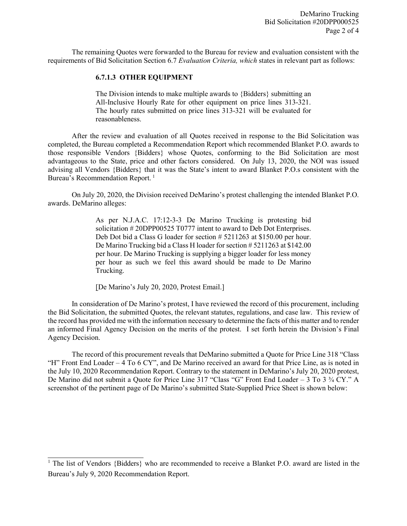The remaining Quotes were forwarded to the Bureau for review and evaluation consistent with the requirements of Bid Solicitation Section 6.7 *Evaluation Criteria, which* states in relevant part as follows:

## **6.7.1.3 OTHER EQUIPMENT**

The Division intends to make multiple awards to {Bidders} submitting an All-Inclusive Hourly Rate for other equipment on price lines 313-321. The hourly rates submitted on price lines 313-321 will be evaluated for reasonableness.

After the review and evaluation of all Quotes received in response to the Bid Solicitation was completed, the Bureau completed a Recommendation Report which recommended Blanket P.O. awards to those responsible Vendors {Bidders} whose Quotes, conforming to the Bid Solicitation are most advantageous to the State, price and other factors considered. On July 13, 2020, the NOI was issued advising all Vendors {Bidders} that it was the State's intent to award Blanket P.O.s consistent with the Bureau's Recommendation Report.<sup>[1](#page-1-0)</sup>

On July 20, 2020, the Division received DeMarino's protest challenging the intended Blanket P.O. awards. DeMarino alleges:

> As per N.J.A.C. 17:12-3-3 De Marino Trucking is protesting bid solicitation # 20DPP00525 T0777 intent to award to Deb Dot Enterprises. Deb Dot bid a Class G loader for section # 5211263 at \$150.00 per hour. De Marino Trucking bid a Class H loader for section # 5211263 at \$142.00 per hour. De Marino Trucking is supplying a bigger loader for less money per hour as such we feel this award should be made to De Marino Trucking.

[De Marino's July 20, 2020, Protest Email.]

In consideration of De Marino's protest, I have reviewed the record of this procurement, including the Bid Solicitation, the submitted Quotes, the relevant statutes, regulations, and case law. This review of the record has provided me with the information necessary to determine the facts of this matter and to render an informed Final Agency Decision on the merits of the protest. I set forth herein the Division's Final Agency Decision.

The record of this procurement reveals that DeMarino submitted a Quote for Price Line 318 "Class "H" Front End Loader – 4 To 6 CY", and De Marino received an award for that Price Line, as is noted in the July 10, 2020 Recommendation Report. Contrary to the statement in DeMarino's July 20, 2020 protest, De Marino did not submit a Quote for Price Line 317 "Class "G" Front End Loader – 3 To 3 ¾ CY." A screenshot of the pertinent page of De Marino's submitted State-Supplied Price Sheet is shown below:

<span id="page-1-0"></span><sup>&</sup>lt;sup>1</sup> The list of Vendors {Bidders} who are recommended to receive a Blanket P.O. award are listed in the Bureau's July 9, 2020 Recommendation Report.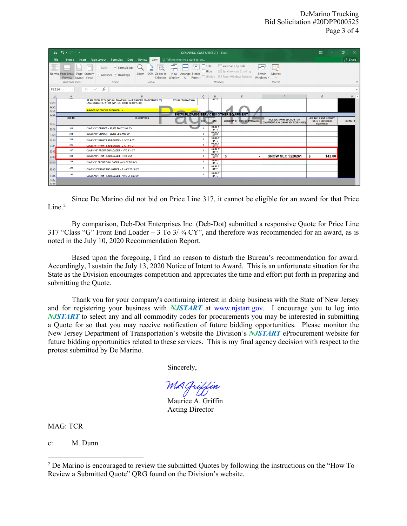|                                                       | ⊟ ∾∽ ∙                                                                  | DEMARINO COST SHEET 2 1 - Excel                                                                                                                                                                        |                |                              |                                                                                                                                   |                                                                         |                                                                          | 団<br>$\times$ |
|-------------------------------------------------------|-------------------------------------------------------------------------|--------------------------------------------------------------------------------------------------------------------------------------------------------------------------------------------------------|----------------|------------------------------|-----------------------------------------------------------------------------------------------------------------------------------|-------------------------------------------------------------------------|--------------------------------------------------------------------------|---------------|
| File                                                  | Home                                                                    | $\bigcirc$ Tell me what you want to do<br>Page Layout Formulas Data Review<br>View<br>Insert                                                                                                           |                |                              |                                                                                                                                   |                                                                         |                                                                          | $\beta$ Share |
|                                                       | Normal Page Break Page Custom<br>Preview Layout Views<br>Workbook Views | ₩<br>$\vee$ Formula Bar<br>→<br>Ruler<br>New Arrange Freeze<br>Zoom 100% Zoom to<br>$\vee$ Gridlines $\vee$ Headings<br>Selection Window All Panes - Unhide<br>Show<br>Zoom                            | $\Box$ Split   | Hide<br>Window               | <b>COView Side by Side</b><br>Synchronous Scrolling<br>Macros<br>Switch<br><b>Be Reset Window Position</b><br>Windows -<br>Macros |                                                                         |                                                                          | $\wedge$      |
| F2314                                                 |                                                                         | $\cdot$ : $\times$ $\checkmark$<br>fx                                                                                                                                                                  |                |                              |                                                                                                                                   |                                                                         |                                                                          | $\checkmark$  |
|                                                       |                                                                         |                                                                                                                                                                                                        |                |                              |                                                                                                                                   |                                                                         |                                                                          |               |
| 2303<br>2304<br>2305                                  | $\mathsf{A}$<br>ora.                                                    | <b>B</b><br>RT 206 FROM RT 30 (MP 0.0) TO ATSION LAKE RANGER STATION MP(7.35)<br><b>RT 206 FROM ATSION</b><br>LAKE RANGER STATION (MP 7.35) TO RT 70 (MP 17.66)<br><b>NUMBER OF TRUCKS REQUIRED: 4</b> | C              | D<br><b>RATE</b>             | F                                                                                                                                 |                                                                         | G                                                                        | $H$ $A$       |
| <b>SNOW PLOWING SERVICES/ OTHER EQUIPMENT</b><br>2306 |                                                                         |                                                                                                                                                                                                        |                |                              |                                                                                                                                   |                                                                         |                                                                          |               |
| 2307                                                  | <b>LINE NO</b>                                                          | <b>DESCRIPTION</b>                                                                                                                                                                                     | <b>QTY</b>     | <b>JUNIT</b>                 | <b>QUANTITY OF TRUCKS AVAILABLE</b>                                                                                               | <b>INCLUDE SNOW SECTION FOR</b><br>EQUIPMENT (E.G. SNOW SECTION 546263) | <b>ALL-INCLUSIVE HOURLY</b><br><b>RATE FOR OTHER</b><br><b>EQUIPMENT</b> | DO NOT U      |
| 2308                                                  | 313                                                                     | CLASS "C" GRADER - 20,000 TO 27,999 LBS                                                                                                                                                                |                | <b>HOURLY</b><br><b>RATE</b> |                                                                                                                                   |                                                                         |                                                                          |               |
| 2309                                                  | 314                                                                     | CLASS "D" GRADER - 28,000 LBS AND UP                                                                                                                                                                   | $\blacksquare$ | <b>HOURLY</b><br><b>RATE</b> |                                                                                                                                   |                                                                         |                                                                          |               |
| 2310                                                  | 315                                                                     | CLASS "E" FRONT END LOADER - 1 % TO 2 CY                                                                                                                                                               | $\blacksquare$ | <b>HOURLY</b><br><b>RATE</b> |                                                                                                                                   |                                                                         |                                                                          |               |
| 2311                                                  | 316                                                                     | CLASS "F" FRONT END LOADER - 2 % - 2 % CY                                                                                                                                                              | $\mathbf{1}$   | <b>HOURLY</b><br><b>DATE</b> |                                                                                                                                   |                                                                         |                                                                          |               |
| 2312                                                  | 317                                                                     | CLASS "G" FRONT END LOADER - 3 TO 3 % CY                                                                                                                                                               | $\blacksquare$ | <b>HOURLY</b><br><b>RATE</b> |                                                                                                                                   |                                                                         |                                                                          |               |
| 2313                                                  | 318                                                                     | CLASS "H" FRONT END LOADER - 4 TO 6 CY                                                                                                                                                                 | $\blacksquare$ | <b>HOURLY</b><br><b>RATE</b> | s                                                                                                                                 | <b>SNOW SEC 5220261</b>                                                 | 142.00<br>s                                                              |               |
| 2314                                                  | 319                                                                     | CLASS "I" FRONT END LOADER - 6 % CY TO 8 CY                                                                                                                                                            | $\blacksquare$ | <b>NUURE</b><br><b>RATE</b>  |                                                                                                                                   |                                                                         |                                                                          |               |
| 2315                                                  | 320                                                                     | CLASS "J" FRONT END LOADER - 8 % CY TO 10 CY                                                                                                                                                           | $\blacksquare$ | <b>HOURLY</b><br>RATE        |                                                                                                                                   |                                                                         |                                                                          |               |
| 2316                                                  | 321                                                                     | CLASS "K" FRONT END LOADER - 10 % CY AND UP                                                                                                                                                            | $\blacksquare$ | <b>HOURLY</b><br><b>RATE</b> |                                                                                                                                   |                                                                         |                                                                          |               |
| 2317<br>2318                                          |                                                                         |                                                                                                                                                                                                        |                |                              |                                                                                                                                   |                                                                         |                                                                          |               |

Since De Marino did not bid on Price Line 317, it cannot be eligible for an award for that Price  $Line.<sup>2</sup>$ 

By comparison, Deb-Dot Enterprises Inc. (Deb-Dot) submitted a responsive Quote for Price Line 317 "Class "G" Front End Loader – 3 To  $3/3/4$  CY", and therefore was recommended for an award, as is noted in the July 10, 2020 Recommendation Report.

Based upon the foregoing, I find no reason to disturb the Bureau's recommendation for award. Accordingly, I sustain the July 13, 2020 Notice of Intent to Award. This is an unfortunate situation for the State as the Division encourages competition and appreciates the time and effort put forth in preparing and submitting the Quote.

Thank you for your company's continuing interest in doing business with the State of New Jersey and for registering your business with *NJSTART* at [www.njstart.gov.](http://www.njstart.gov/) I encourage you to log into *NJSTART* to select any and all commodity codes for procurements you may be interested in submitting a Quote for so that you may receive notification of future bidding opportunities. Please monitor the New Jersey Department of Transportation's website the Division's *NJSTART* eProcurement website for future bidding opportunities related to these services. This is my final agency decision with respect to the protest submitted by De Marino.

Sincerely,

Maurice A. Griffin Acting Director

MAG: TCR

c: M. Dunn

<span id="page-2-0"></span> $2$  De Marino is encouraged to review the submitted Quotes by following the instructions on the "How To" Review a Submitted Quote" QRG found on the Division's website.